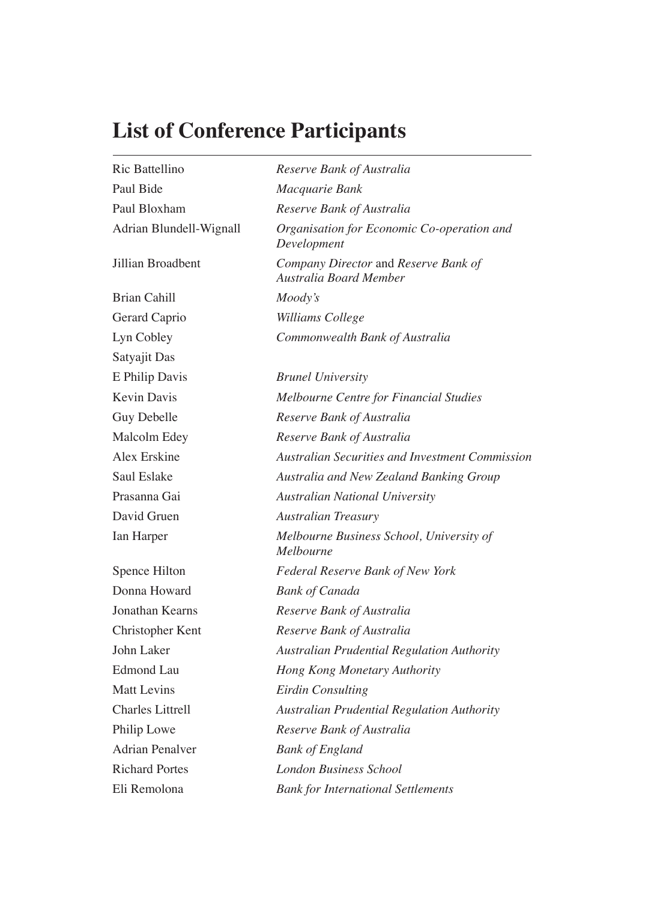## **List of Conference Participants**

| Ric Battellino          | Reserve Bank of Australia                                      |
|-------------------------|----------------------------------------------------------------|
| Paul Bide               | Macquarie Bank                                                 |
| Paul Bloxham            | Reserve Bank of Australia                                      |
| Adrian Blundell-Wignall | Organisation for Economic Co-operation and<br>Development      |
| Jillian Broadbent       | Company Director and Reserve Bank of<br>Australia Board Member |
| <b>Brian Cahill</b>     | Moody's                                                        |
| Gerard Caprio           | Williams College                                               |
| Lyn Cobley              | Commonwealth Bank of Australia                                 |
| Satyajit Das            |                                                                |
| E Philip Davis          | <b>Brunel University</b>                                       |
| <b>Kevin Davis</b>      | Melbourne Centre for Financial Studies                         |
| Guy Debelle             | Reserve Bank of Australia                                      |
| Malcolm Edey            | Reserve Bank of Australia                                      |
| Alex Erskine            | <b>Australian Securities and Investment Commission</b>         |
| Saul Eslake             | Australia and New Zealand Banking Group                        |
| Prasanna Gai            | <b>Australian National University</b>                          |
| David Gruen             | <b>Australian Treasury</b>                                     |
| Ian Harper              | Melbourne Business School, University of<br><i>Melbourne</i>   |
| Spence Hilton           | Federal Reserve Bank of New York                               |
| Donna Howard            | <b>Bank of Canada</b>                                          |
| Jonathan Kearns         | Reserve Bank of Australia                                      |
| Christopher Kent        | Reserve Bank of Australia                                      |
| John Laker              | <b>Australian Prudential Regulation Authority</b>              |
| <b>Edmond Lau</b>       | Hong Kong Monetary Authority                                   |
| <b>Matt Levins</b>      | <b>Eirdin Consulting</b>                                       |
| <b>Charles Littrell</b> | <b>Australian Prudential Regulation Authority</b>              |
| Philip Lowe             | Reserve Bank of Australia                                      |
| Adrian Penalver         | <b>Bank of England</b>                                         |
| <b>Richard Portes</b>   | <b>London Business School</b>                                  |
| Eli Remolona            | <b>Bank for International Settlements</b>                      |